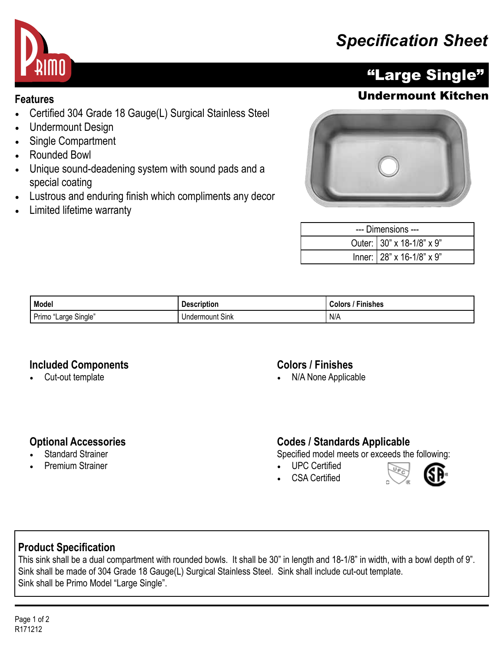## *Specification Sheet*



## "Large Single"

### **Features** Undermount Kitchen

- Certified 304 Grade 18 Gauge(L) Surgical Stainless Steel
- Undermount Design
- Single Compartment
- Rounded Bowl
- Unique sound-deadening system with sound pads and a special coating
- Lustrous and enduring finish which compliments any decor
- Limited lifetime warranty



| --- Dimensions --- |                           |  |
|--------------------|---------------------------|--|
|                    | Outer: 30" x 18-1/8" x 9" |  |
|                    | Inner: 28" x 16-1/8" x 9" |  |

| Model                                      | .<br><b>Description</b> | Finishes<br>`olor من |
|--------------------------------------------|-------------------------|----------------------|
| Primo<br>Single <sup>"</sup><br>'Large<br> | t Sink<br>Undermount    | N/A                  |

#### **Included Components**

• Cut-out template

#### **Colors / Finishes**

• N/A None Applicable

#### **Optional Accessories**

- **Standard Strainer**
- Premium Strainer

#### **Codes / Standards Applicable**

Specified model meets or exceeds the following:

- UPC Certified
- CSA Certified



#### **Product Specification**

This sink shall be a dual compartment with rounded bowls. It shall be 30" in length and 18-1/8" in width, with a bowl depth of 9". Sink shall be made of 304 Grade 18 Gauge(L) Surgical Stainless Steel. Sink shall include cut-out template. Sink shall be Primo Model "Large Single".